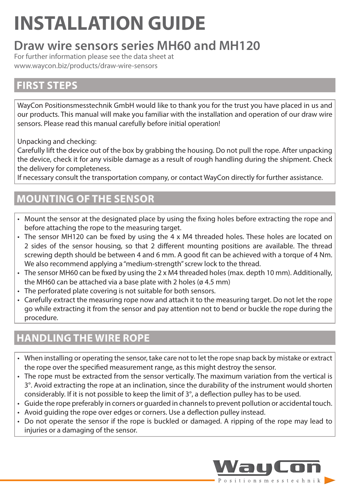# **INSTALLATION GUIDE**

# **Draw wire sensors series MH60 and MH120**

For further information please see the data sheet at [www.waycon.biz/products/draw-wire-sensors](http://www.waycon.biz/products/draw-wire-sensors)

## **FIRST STEPS**

WayCon Positionsmesstechnik GmbH would like to thank you for the trust you have placed in us and our products. This manual will make you familiar with the installation and operation of our draw wire sensors. Please read this manual carefully before initial operation!

Unpacking and checking:

Carefully lift the device out of the box by grabbing the housing. Do not pull the rope. After unpacking the device, check it for any visible damage as a result of rough handling during the shipment. Check the delivery for completeness.

If necessary consult the transportation company, or contact WayCon directly for further assistance.

# **MOUNTING OF THE SENSOR**

- Mount the sensor at the designated place by using the fixing holes before extracting the rope and before attaching the rope to the measuring target.
- The sensor MH120 can be fixed by using the 4 x M4 threaded holes. These holes are located on 2 sides of the sensor housing, so that 2 different mounting positions are available. The thread screwing depth should be between 4 and 6 mm. A good fit can be achieved with a torque of 4 Nm. We also recommend applying a "medium-strength" screw lock to the thread.
- The sensor MH60 can be fixed by using the 2 x M4 threaded holes (max. depth 10 mm). Additionally, the MH60 can be attached via a base plate with 2 holes (ø 4.5 mm)
- The perforated plate covering is not suitable for both sensors.
- Carefully extract the measuring rope now and attach it to the measuring target. Do not let the rope go while extracting it from the sensor and pay attention not to bend or buckle the rope during the procedure.

# **HANDLING THE WIRE ROPE**

- When installing or operating the sensor, take care not to let the rope snap back by mistake or extract the rope over the specified measurement range, as this might destroy the sensor.
- The rope must be extracted from the sensor vertically. The maximum variation from the vertical is 3°. Avoid extracting the rope at an inclination, since the durability of the instrument would shorten considerably. If it is not possible to keep the limit of 3°, a deflection pulley has to be used.
- Guide the rope preferably in corners or guarded in channels to prevent pollution or accidental touch.
- Avoid guiding the rope over edges or corners. Use a deflection pulley instead.
- Do not operate the sensor if the rope is buckled or damaged. A ripping of the rope may lead to injuries or a damaging of the sensor.

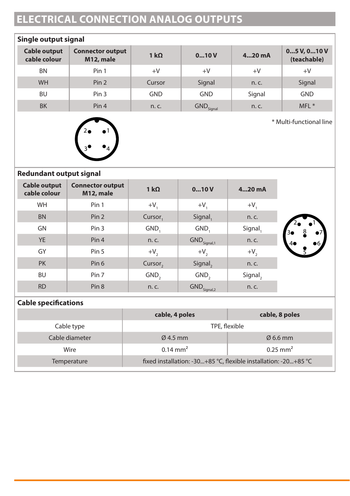# **ELECTRICAL CONNECTION ANALOG OUTPUTS**

| Single output signal                |                                      |              |                                  |          |                          |
|-------------------------------------|--------------------------------------|--------------|----------------------------------|----------|--------------------------|
| <b>Cable output</b><br>cable colour | <b>Connector output</b><br>M12, male | 1 k $\Omega$ | 010V                             | $420$ mA | 05V, 010V<br>(teachable) |
| <b>BN</b>                           | Pin 1                                | $+V$         | $+V$                             | $+V$     | $+V$                     |
| <b>WH</b>                           | Pin 2                                | Cursor       | Signal                           | n. c.    | Signal                   |
| <b>BU</b>                           | Pin <sub>3</sub>                     | <b>GND</b>   | <b>GND</b>                       | Signal   | <b>GND</b>               |
| <b>BK</b>                           | Pin 4                                | n.c.         | $\mathsf{GND}_{\mathsf{Signan}}$ | n. c.    | MFL <sup>*</sup>         |



\* Multi-functional line

#### **Redundant output signal**

| <b>Cable output</b><br>cable colour | <b>Connector output</b><br>M12, male | 1 $k\Omega$         | 010V                     | $420$ mA |          |
|-------------------------------------|--------------------------------------|---------------------|--------------------------|----------|----------|
| <b>WH</b>                           | Pin 1                                | $+V$                | $+V,$                    | $+V$     |          |
| <b>BN</b>                           | Pin <sub>2</sub>                     | Cursor,             | Signal,                  | n. c.    |          |
| GN                                  | Pin <sub>3</sub>                     | GND,                | GND,                     | Signal,  | 8<br>30  |
| <b>YE</b>                           | Pin <sub>4</sub>                     | n. c.               | $GND_{Signal, 1}$        | n. c.    | 66<br>40 |
| GY                                  | Pin 5                                | $+V,$               | $+V,$                    | $+V,$    |          |
| <b>PK</b>                           | Pin 6                                | Cursor <sub>2</sub> | Signal,                  | n. c.    |          |
| <b>BU</b>                           | Pin 7                                | GND <sub>2</sub>    | GND <sub>2</sub>         | Signal,  |          |
| <b>RD</b>                           | Pin <sub>8</sub>                     | n. c.               | GND <sub>Signal, 2</sub> | n. c.    |          |

#### **Cable specifications**

|                | cable, 4 poles                                                  | cable, 8 poles       |  |
|----------------|-----------------------------------------------------------------|----------------------|--|
| Cable type     | TPE, flexible                                                   |                      |  |
| Cable diameter | $\varnothing$ 4.5 mm                                            | $\varnothing$ 6.6 mm |  |
| Wire           | $0.14 \text{ mm}^2$                                             | $0.25 \text{ mm}^2$  |  |
| Temperature    | fixed installation: -30+85 °C, flexible installation: -20+85 °C |                      |  |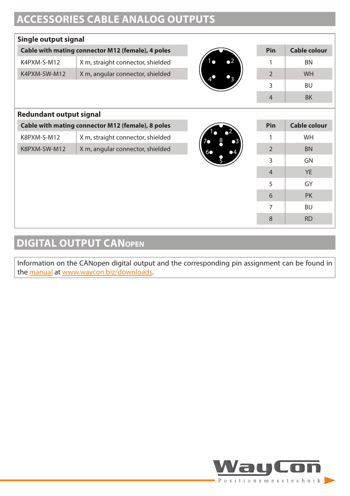# **ACCESSORIES CABLE ANALOG OUTPUTS**

### **Single output signal**

| Cable with mating connector M12 (female), 4 poles |                                   |     | Pin | Cable colour |
|---------------------------------------------------|-----------------------------------|-----|-----|--------------|
| K4PXM-S-M12                                       | X m, straight connector, shielded | - 2 |     | <b>BN</b>    |
| K4PXM-SW-M12                                      | X m, angular connector, shielded  |     |     | <b>WH</b>    |
|                                                   |                                   |     |     | <b>BU</b>    |
|                                                   |                                   |     |     | BK           |

#### **Redundant output signal**

| Cable with mating connector M12 (female), 8 poles |                                   |  |
|---------------------------------------------------|-----------------------------------|--|
| K8PXM-S-M12                                       | X m, straight connector, shielded |  |
| K8PXM-SW-M12                                      | X m, angular connector, shielded  |  |



| Pin            | <b>Cable colour</b> |
|----------------|---------------------|
| 1              | WH                  |
| $\overline{2}$ | <b>BN</b>           |
| 3              | GN                  |
| $\overline{4}$ | <b>YE</b>           |
| 5              | GY                  |
| 6              | PK                  |
| 7              | <b>BU</b>           |
| 8              | <b>RD</b>           |

# **DIGITAL OUTPUT CANopen**

Information on the CANopen digital output and the corresponding pin assignment can be found in the [manual](https://www.waycon.biz/fileadmin/draw-wire-sensors/CANopen-Manual.pdf) at [www.waycon.biz/downloads.](https://www.waycon.biz/downloads)